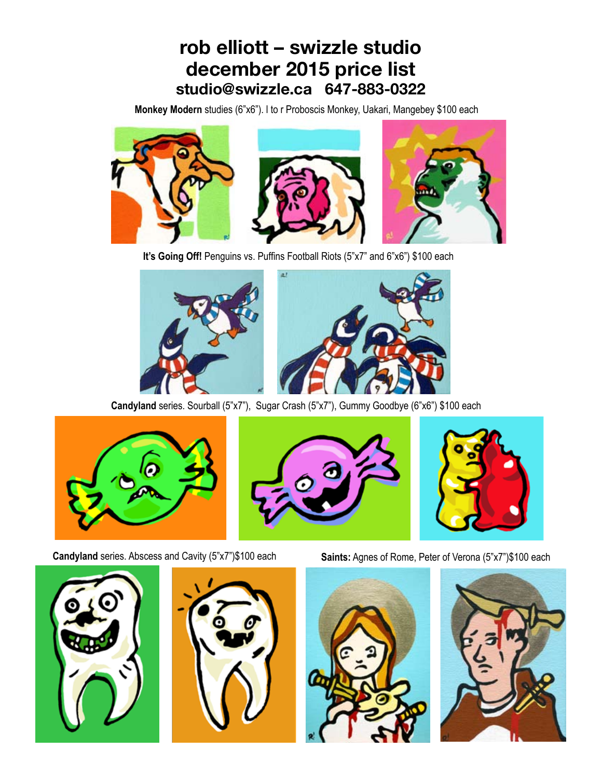**Monkey Modern** studies (6"x6"). l to r Proboscis Monkey, Uakari, Mangebey \$100 each



**It's Going Off!** Penguins vs. Puffins Football Riots (5"x7" and 6"x6") \$100 each





**Candyland** series. Sourball (5"x7"), Sugar Crash (5"x7"), Gummy Goodbye (6"x6") \$100 each







**Candyland** series. Abscess and Cavity (5"x7")\$100 each **Saints:** Agnes of Rome, Peter of Verona (5"x7")\$100 each







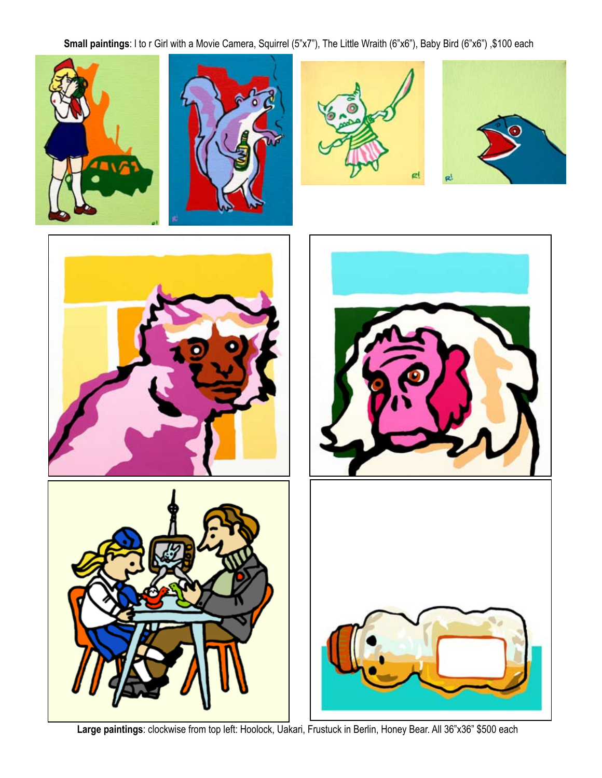**Small paintings**: l to r Girl with a Movie Camera, Squirrel (5"x7"), The Little Wraith (6"x6"), Baby Bird (6"x6") ,\$100 each











**Large paintings**: clockwise from top left: Hoolock, Uakari, Frustuck in Berlin, Honey Bear. All 36"x36" \$500 each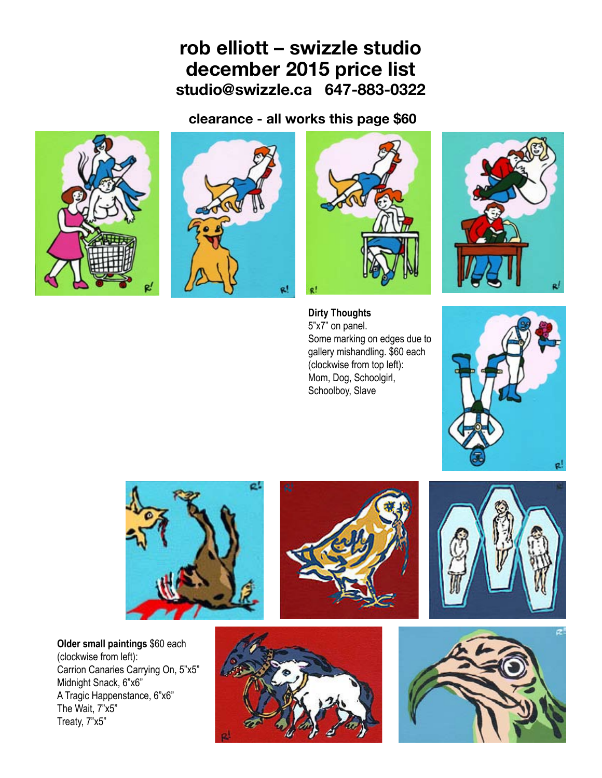**clearance - all works this page \$60**









**Dirty Thoughts** 5"x7" on panel. Some marking on edges due to gallery mishandling. \$60 each (clockwise from top left): Mom, Dog, Schoolgirl, Schoolboy, Slave









**Older small paintings** \$60 each (clockwise from left): Carrion Canaries Carrying On, 5"x5" Midnight Snack, 6"x6" A Tragic Happenstance, 6"x6" The Wait, 7"x5" Treaty, 7"x5"



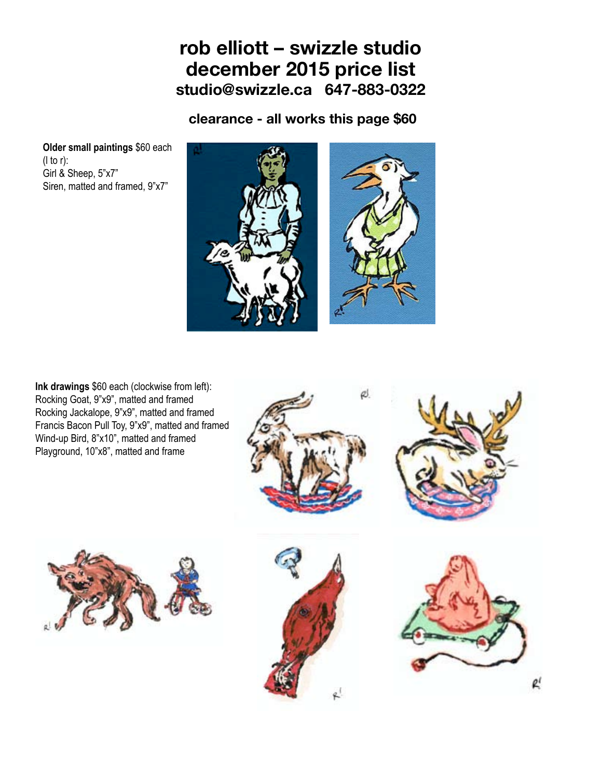**clearance - all works this page \$60**

**Older small paintings** \$60 each (l to r): Girl & Sheep, 5"x7" Siren, matted and framed, 9"x7"



**Ink drawings** \$60 each (clockwise from left): Rocking Goat, 9"x9", matted and framed Rocking Jackalope, 9"x9", matted and framed Francis Bacon Pull Toy, 9"x9", matted and framed Wind-up Bird, 8"x10", matted and framed Playground, 10"x8", matted and frame